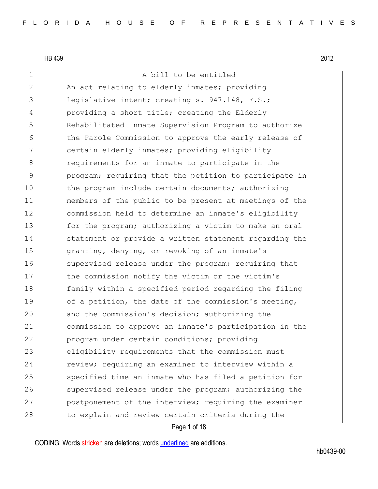1 A bill to be entitled 2 An act relating to elderly inmates; providing 3 legislative intent; creating s. 947.148, F.S.; 4 providing a short title; creating the Elderly 5 Rehabilitated Inmate Supervision Program to authorize 6 6 the Parole Commission to approve the early release of 7 certain elderly inmates; providing eligibility 8 8 8 8 requirements for an inmate to participate in the 9 program; requiring that the petition to participate in 10 the program include certain documents; authorizing 11 members of the public to be present at meetings of the 12 commission held to determine an inmate's eligibility 13 for the program; authorizing a victim to make an oral 14 Statement or provide a written statement regarding the 15 15 granting, denying, or revoking of an inmate's 16 Supervised release under the program; requiring that 17 the commission notify the victim or the victim's 18 family within a specified period regarding the filing 19 of a petition, the date of the commission's meeting, 20 and the commission's decision; authorizing the 21 commission to approve an inmate's participation in the 22 program under certain conditions; providing 23 eligibility requirements that the commission must 24 review; requiring an examiner to interview within a 25 Specified time an inmate who has filed a petition for 26 Supervised release under the program; authorizing the 27 postponement of the interview; requiring the examiner 28 to explain and review certain criteria during the

#### Page 1 of 18

CODING: Words stricken are deletions; words underlined are additions.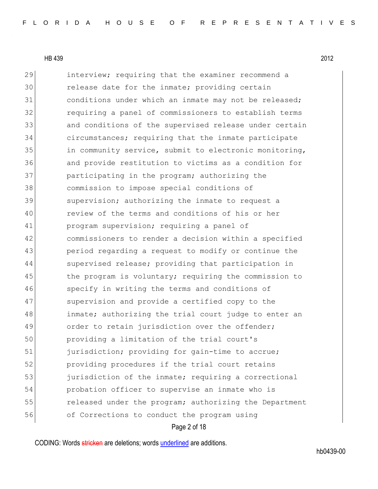29 interview; requiring that the examiner recommend a 30 release date for the inmate; providing certain 31 conditions under which an inmate may not be released; 32 requiring a panel of commissioners to establish terms 33 and conditions of the supervised release under certain 34 circumstances; requiring that the inmate participate 35 in community service, submit to electronic monitoring, 36 and provide restitution to victims as a condition for 37 **participating in the program; authorizing the** 38 commission to impose special conditions of 39 supervision; authorizing the inmate to request a 40 review of the terms and conditions of his or her 41 **program supervision; requiring a panel of** 42 commissioners to render a decision within a specified 43 period regarding a request to modify or continue the 44 Supervised release; providing that participation in 45 the program is voluntary; requiring the commission to 46 specify in writing the terms and conditions of 47 Supervision and provide a certified copy to the 48 inmate; authorizing the trial court judge to enter an 49 order to retain jurisdiction over the offender; 50 providing a limitation of the trial court's 51 jurisdiction; providing for gain-time to accrue; 52 providing procedures if the trial court retains 53 jurisdiction of the inmate; requiring a correctional 54 probation officer to supervise an inmate who is 55 **released under the program;** authorizing the Department 56 of Corrections to conduct the program using

Page 2 of 18

CODING: Words stricken are deletions; words underlined are additions.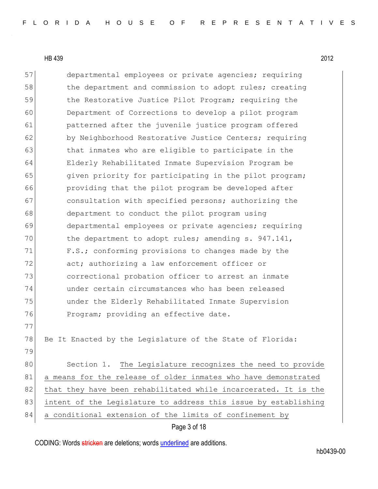57 departmental employees or private agencies; requiring 58 the department and commission to adopt rules; creating 59 the Restorative Justice Pilot Program; requiring the 60 Department of Corrections to develop a pilot program 61 **patterned after the juvenile justice program offered** 62 by Neighborhood Restorative Justice Centers; requiring 63 bthat inmates who are eligible to participate in the 64 Elderly Rehabilitated Inmate Supervision Program be 65 given priority for participating in the pilot program; 66 providing that the pilot program be developed after 67 consultation with specified persons; authorizing the 68 department to conduct the pilot program using 69 departmental employees or private agencies; requiring 70 the department to adopt rules; amending s. 947.141, 71 F.S.; conforming provisions to changes made by the 72 act; authorizing a law enforcement officer or 73 correctional probation officer to arrest an inmate 74 under certain circumstances who has been released 75 under the Elderly Rehabilitated Inmate Supervision 76 Program; providing an effective date. 77 78 Be It Enacted by the Legislature of the State of Florida: 79 80 Section 1. The Legislature recognizes the need to provide 81 a means for the release of older inmates who have demonstrated 82 that they have been rehabilitated while incarcerated. It is the 83 intent of the Legislature to address this issue by establishing 84 a conditional extension of the limits of confinement by

Page 3 of 18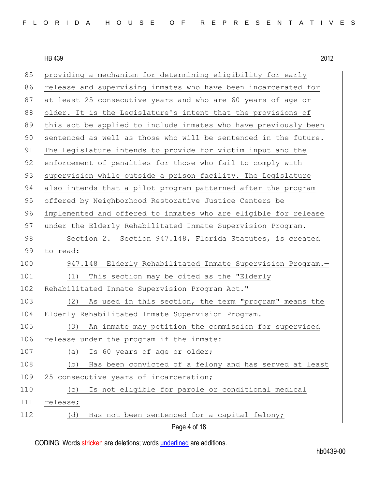85 providing a mechanism for determining eligibility for early 86 release and supervising inmates who have been incarcerated for 87 at least 25 consecutive years and who are 60 years of age or 88 older. It is the Legislature's intent that the provisions of 89 this act be applied to include inmates who have previously been 90 sentenced as well as those who will be sentenced in the future. 91 The Legislature intends to provide for victim input and the 92 enforcement of penalties for those who fail to comply with 93 supervision while outside a prison facility. The Legislature 94 also intends that a pilot program patterned after the program 95 offered by Neighborhood Restorative Justice Centers be 96 implemented and offered to inmates who are eligible for release 97 under the Elderly Rehabilitated Inmate Supervision Program. 98 Section 2. Section 947.148, Florida Statutes, is created 99 to read: 100 947.148 Elderly Rehabilitated Inmate Supervision Program.-101 (1) This section may be cited as the "Elderly 102 Rehabilitated Inmate Supervision Program Act." 103 (2) As used in this section, the term "program" means the 104 Elderly Rehabilitated Inmate Supervision Program. 105 (3) An inmate may petition the commission for supervised 106 release under the program if the inmate: 107 (a) Is 60 years of age or older; 108 (b) Has been convicted of a felony and has served at least 109 25 consecutive years of incarceration; 110 (c) Is not eligible for parole or conditional medical 111 release; 112 (d) Has not been sentenced for a capital felony;

Page 4 of 18

CODING: Words stricken are deletions; words underlined are additions.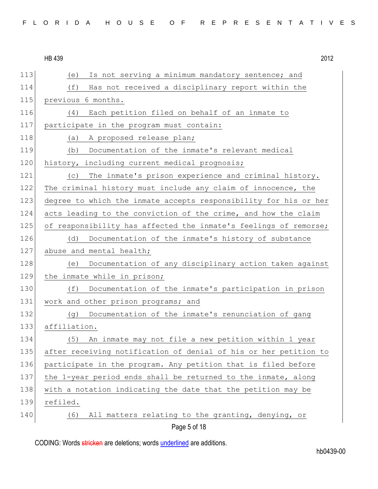113 (e) Is not serving a minimum mandatory sentence; and

114 (f) Has not received a disciplinary report within the 115 previous 6 months. 116 (4) Each petition filed on behalf of an inmate to 117 participate in the program must contain: 118 (a) A proposed release plan; 119 (b) Documentation of the inmate's relevant medical 120 history, including current medical prognosis; 121 (c) The inmate's prison experience and criminal history. 122 The criminal history must include any claim of innocence, the 123 degree to which the inmate accepts responsibility for his or her 124 acts leading to the conviction of the crime, and how the claim 125 of responsibility has affected the inmate's feelings of remorse; 126 (d) Documentation of the inmate's history of substance 127 abuse and mental health; 128 (e) Documentation of any disciplinary action taken against 129 the inmate while in prison; 130 (f) Documentation of the inmate's participation in prison 131 work and other prison programs; and 132 (g) Documentation of the inmate's renunciation of gang 133 affiliation. 134 (5) An inmate may not file a new petition within 1 year 135 after receiving notification of denial of his or her petition to 136 participate in the program. Any petition that is filed before 137 the 1-year period ends shall be returned to the inmate, along 138 with a notation indicating the date that the petition may be 139 refiled. 140 (6) All matters relating to the granting, denying, or

Page 5 of 18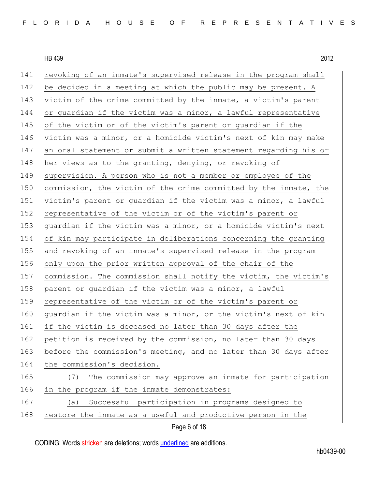Page 6 of 18 141 revoking of an inmate's supervised release in the program shall 142 be decided in a meeting at which the public may be present. A 143 victim of the crime committed by the inmate, a victim's parent 144 or guardian if the victim was a minor, a lawful representative 145 of the victim or of the victim's parent or guardian if the 146 victim was a minor, or a homicide victim's next of kin may make 147 an oral statement or submit a written statement regarding his or 148 her views as to the granting, denying, or revoking of 149 supervision. A person who is not a member or employee of the 150 commission, the victim of the crime committed by the inmate, the 151 victim's parent or quardian if the victim was a minor, a lawful 152 representative of the victim or of the victim's parent or 153 guardian if the victim was a minor, or a homicide victim's next 154 of kin may participate in deliberations concerning the granting 155 and revoking of an inmate's supervised release in the program 156 only upon the prior written approval of the chair of the 157 commission. The commission shall notify the victim, the victim's 158 parent or quardian if the victim was a minor, a lawful 159 representative of the victim or of the victim's parent or 160 quardian if the victim was a minor, or the victim's next of kin 161 if the victim is deceased no later than 30 days after the 162 petition is received by the commission, no later than 30 days 163 before the commission's meeting, and no later than 30 days after 164 the commission's decision. 165 (7) The commission may approve an inmate for participation 166 in the program if the inmate demonstrates: 167 (a) Successful participation in programs designed to 168 restore the inmate as a useful and productive person in the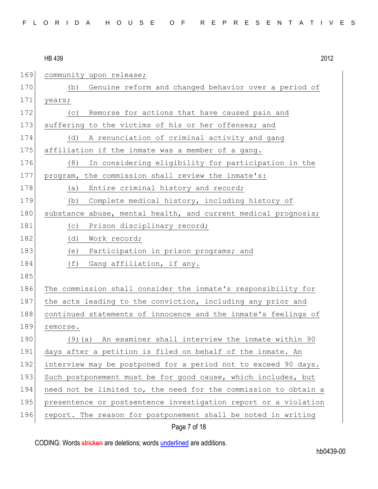|  |  |  |  |  |  |  |  |  |  | FLORIDA HOUSE OF REPRESENTATIVES |  |  |  |  |  |  |  |  |  |  |  |  |  |  |  |  |  |
|--|--|--|--|--|--|--|--|--|--|----------------------------------|--|--|--|--|--|--|--|--|--|--|--|--|--|--|--|--|--|
|--|--|--|--|--|--|--|--|--|--|----------------------------------|--|--|--|--|--|--|--|--|--|--|--|--|--|--|--|--|--|

# HB 439 2012 169 community upon release; 170 (b) Genuine reform and changed behavior over a period of 171 years; 172 (c) Remorse for actions that have caused pain and 173 suffering to the victims of his or her offenses; and 174 (d) A renunciation of criminal activity and gang 175 affiliation if the inmate was a member of a gang. 176 (8) In considering eligibility for participation in the 177 program, the commission shall review the inmate's: 178 (a) Entire criminal history and record; 179 (b) Complete medical history, including history of 180 substance abuse, mental health, and current medical prognosis; 181 (c) Prison disciplinary record; 182 (d) Work record; 183 (e) Participation in prison programs; and 184 (f) Gang affiliation, if any. 185 186 The commission shall consider the inmate's responsibility for 187 the acts leading to the conviction, including any prior and 188 continued statements of innocence and the inmate's feelings of 189 remorse. 190 (9)(a) An examiner shall interview the inmate within 90 191 days after a petition is filed on behalf of the inmate. An 192 interview may be postponed for a period not to exceed 90 days. 193 Such postponement must be for good cause, which includes, but 194 need not be limited to, the need for the commission to obtain a 195 presentence or postsentence investigation report or a violation 196 report. The reason for postponement shall be noted in writing

## Page 7 of 18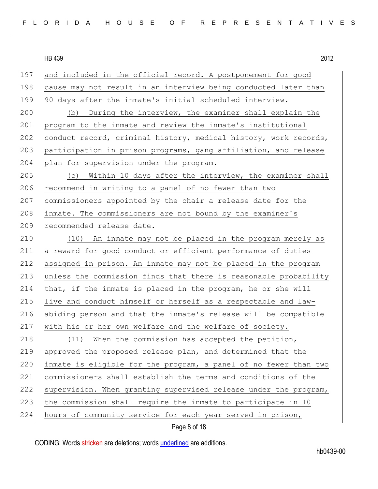| 197 | and included in the official record. A postponement for good     |
|-----|------------------------------------------------------------------|
| 198 | cause may not result in an interview being conducted later than  |
| 199 | 90 days after the inmate's initial scheduled interview.          |
| 200 | During the interview, the examiner shall explain the<br>(b)      |
| 201 | program to the inmate and review the inmate's institutional      |
| 202 | conduct record, criminal history, medical history, work records, |
| 203 | participation in prison programs, gang affiliation, and release  |
| 204 | plan for supervision under the program.                          |
| 205 | (c) Within 10 days after the interview, the examiner shall       |
| 206 | recommend in writing to a panel of no fewer than two             |
| 207 | commissioners appointed by the chair a release date for the      |
| 208 | inmate. The commissioners are not bound by the examiner's        |
| 209 | recommended release date.                                        |
| 210 | (10) An inmate may not be placed in the program merely as        |
| 211 | a reward for good conduct or efficient performance of duties     |
| 212 | assigned in prison. An inmate may not be placed in the program   |
| 213 | unless the commission finds that there is reasonable probability |
| 214 | that, if the inmate is placed in the program, he or she will     |
| 215 | live and conduct himself or herself as a respectable and law-    |
| 216 | abiding person and that the inmate's release will be compatible  |
| 217 | with his or her own welfare and the welfare of society.          |
| 218 | (11) When the commission has accepted the petition,              |
| 219 | approved the proposed release plan, and determined that the      |
| 220 | inmate is eligible for the program, a panel of no fewer than two |
| 221 | commissioners shall establish the terms and conditions of the    |
| 222 | supervision. When granting supervised release under the program, |
| 223 | the commission shall require the inmate to participate in 10     |
| 224 | hours of community service for each year served in prison,       |

Page 8 of 18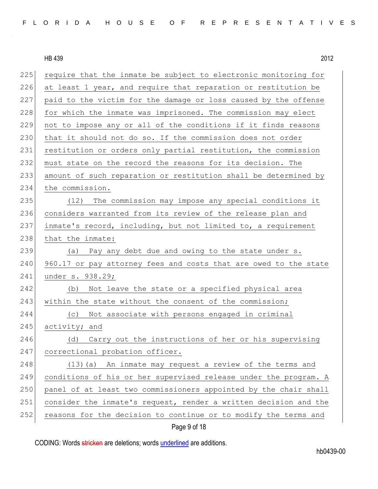| 225 | require that the inmate be subject to electronic monitoring for  |
|-----|------------------------------------------------------------------|
| 226 | at least 1 year, and require that reparation or restitution be   |
| 227 | paid to the victim for the damage or loss caused by the offense  |
| 228 | for which the inmate was imprisoned. The commission may elect    |
| 229 | not to impose any or all of the conditions if it finds reasons   |
| 230 | that it should not do so. If the commission does not order       |
| 231 | restitution or orders only partial restitution, the commission   |
| 232 | must state on the record the reasons for its decision. The       |
| 233 | amount of such reparation or restitution shall be determined by  |
| 234 | the commission.                                                  |
| 235 | (12) The commission may impose any special conditions it         |
| 236 | considers warranted from its review of the release plan and      |
| 237 | inmate's record, including, but not limited to, a requirement    |
| 238 | that the inmate:                                                 |
| 239 | (a) Pay any debt due and owing to the state under s.             |
| 240 | 960.17 or pay attorney fees and costs that are owed to the state |
| 241 | under s. 938.29;                                                 |
| 242 | (b) Not leave the state or a specified physical area             |
| 243 | within the state without the consent of the commission;          |
| 244 | Not associate with persons engaged in criminal<br>(C)            |
| 245 | activity; and                                                    |
| 246 | Carry out the instructions of her or his supervising<br>(d)      |
| 247 | correctional probation officer.                                  |
| 248 | (13) (a) An inmate may request a review of the terms and         |
| 249 | conditions of his or her supervised release under the program. A |
| 250 | panel of at least two commissioners appointed by the chair shall |
| 251 | consider the inmate's request, render a written decision and the |
| 252 | reasons for the decision to continue or to modify the terms and  |
|     |                                                                  |

# Page 9 of 18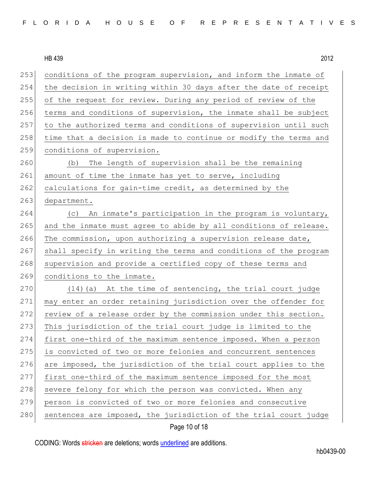| FLORIDA HOUSE OF REPRESENTATIVES |  |
|----------------------------------|--|
|----------------------------------|--|

253 conditions of the program supervision, and inform the inmate of 254 the decision in writing within 30 days after the date of receipt 255 of the request for review. During any period of review of the 256 terms and conditions of supervision, the inmate shall be subject 257 to the authorized terms and conditions of supervision until such 258 time that a decision is made to continue or modify the terms and 259 conditions of supervision. 260 (b) The length of supervision shall be the remaining 261 amount of time the inmate has yet to serve, including 262 calculations for gain-time credit, as determined by the 263 department. 264 (c) An inmate's participation in the program is voluntary, 265 and the inmate must agree to abide by all conditions of release. 266 The commission, upon authorizing a supervision release date, 267 shall specify in writing the terms and conditions of the program 268 supervision and provide a certified copy of these terms and 269 conditions to the inmate.  $270$  (14)(a) At the time of sentencing, the trial court judge 271 may enter an order retaining jurisdiction over the offender for 272 review of a release order by the commission under this section. 273 This jurisdiction of the trial court judge is limited to the 274 first one-third of the maximum sentence imposed. When a person 275 is convicted of two or more felonies and concurrent sentences 276 are imposed, the jurisdiction of the trial court applies to the 277 first one-third of the maximum sentence imposed for the most 278 severe felony for which the person was convicted. When any 279 person is convicted of two or more felonies and consecutive 280 sentences are imposed, the jurisdiction of the trial court judge

Page 10 of 18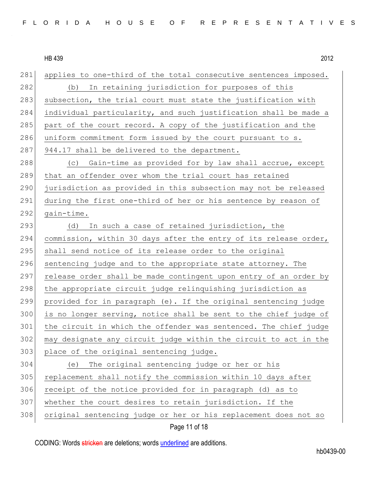Page 11 of 18 281 applies to one-third of the total consecutive sentences imposed. 282 (b) In retaining jurisdiction for purposes of this 283 subsection, the trial court must state the justification with 284 individual particularity, and such justification shall be made a 285 part of the court record. A copy of the justification and the 286 uniform commitment form issued by the court pursuant to s.  $287$  944.17 shall be delivered to the department. 288 (c) Gain-time as provided for by law shall accrue, except 289 that an offender over whom the trial court has retained 290 jurisdiction as provided in this subsection may not be released 291 during the first one-third of her or his sentence by reason of  $292$  gain-time. 293 (d) In such a case of retained jurisdiction, the 294 commission, within 30 days after the entry of its release order, 295 shall send notice of its release order to the original 296 sentencing judge and to the appropriate state attorney. The 297 release order shall be made contingent upon entry of an order by 298 the appropriate circuit judge relinquishing jurisdiction as 299 provided for in paragraph (e). If the original sentencing judge 300 is no longer serving, notice shall be sent to the chief judge of 301 the circuit in which the offender was sentenced. The chief judge 302 may designate any circuit judge within the circuit to act in the 303 place of the original sentencing judge. 304 (e) The original sentencing judge or her or his 305 replacement shall notify the commission within 10 days after 306 receipt of the notice provided for in paragraph (d) as to 307 whether the court desires to retain jurisdiction. If the 308 original sentencing judge or her or his replacement does not so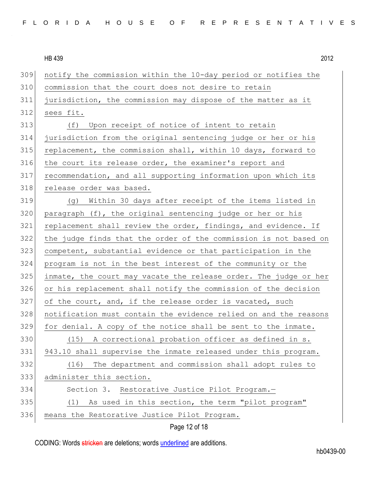| FLORIDA HOUSE OF REPRESENTATIVES |  |
|----------------------------------|--|
|----------------------------------|--|

 notify the commission within the 10-day period or notifies the commission that the court does not desire to retain jurisdiction, the commission may dispose of the matter as it sees fit. 313 (f) Upon receipt of notice of intent to retain jurisdiction from the original sentencing judge or her or his 315 replacement, the commission shall, within 10 days, forward to 316 the court its release order, the examiner's report and recommendation, and all supporting information upon which its 318 release order was based. (g) Within 30 days after receipt of the items listed in paragraph (f), the original sentencing judge or her or his 321 replacement shall review the order, findings, and evidence. If the judge finds that the order of the commission is not based on competent, substantial evidence or that participation in the program is not in the best interest of the community or the 325 inmate, the court may vacate the release order. The judge or her or his replacement shall notify the commission of the decision 327 of the court, and, if the release order is vacated, such notification must contain the evidence relied on and the reasons for denial. A copy of the notice shall be sent to the inmate. 330 (15) A correctional probation officer as defined in s. 943.10 shall supervise the inmate released under this program. (16) The department and commission shall adopt rules to administer this section. Section 3. Restorative Justice Pilot Program.— (1) As used in this section, the term "pilot program" 336 means the Restorative Justice Pilot Program.

Page 12 of 18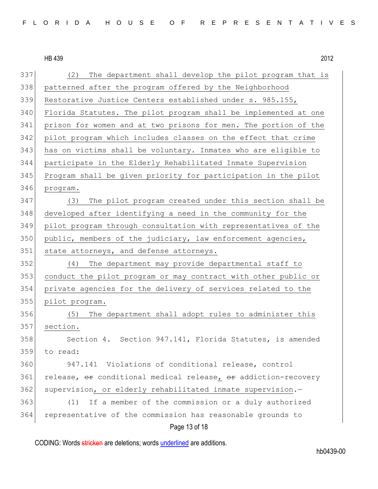| 337 | The department shall develop the pilot program that is<br>(2)   |
|-----|-----------------------------------------------------------------|
| 338 | patterned after the program offered by the Neighborhood         |
| 339 | Restorative Justice Centers established under s. 985.155,       |
| 340 | Florida Statutes. The pilot program shall be implemented at one |
| 341 | prison for women and at two prisons for men. The portion of the |
| 342 | pilot program which includes classes on the effect that crime   |
| 343 | has on victims shall be voluntary. Inmates who are eligible to  |
| 344 | participate in the Elderly Rehabilitated Inmate Supervision     |
| 345 | Program shall be given priority for participation in the pilot  |
| 346 | program.                                                        |
| 347 | The pilot program created under this section shall be<br>(3)    |
| 348 | developed after identifying a need in the community for the     |
| 349 | pilot program through consultation with representatives of the  |
| 350 | public, members of the judiciary, law enforcement agencies,     |
| 351 | state attorneys, and defense attorneys.                         |
| 352 | The department may provide departmental staff to<br>(4)         |
| 353 | conduct the pilot program or may contract with other public or  |
| 354 | private agencies for the delivery of services related to the    |
| 355 | pilot program.                                                  |
| 356 | The department shall adopt rules to administer this<br>(5)      |
| 357 | section.                                                        |
| 358 | Section 4. Section 947.141, Florida Statutes, is amended        |
| 359 | to read:                                                        |
| 360 | 947.141 Violations of conditional release, control              |
| 361 | release, or conditional medical release, or addiction-recovery  |
| 362 | supervision, or elderly rehabilitated inmate supervision.-      |
| 363 | If a member of the commission or a duly authorized<br>(1)       |
| 364 | representative of the commission has reasonable grounds to      |
|     | Page 13 of 18                                                   |

CODING: Words stricken are deletions; words underlined are additions.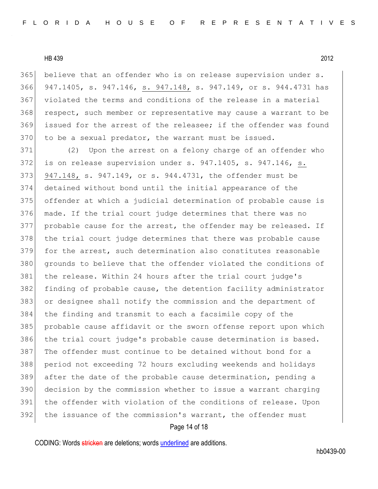believe that an offender who is on release supervision under s. 947.1405, s. 947.146, s. 947.148, s. 947.149, or s. 944.4731 has violated the terms and conditions of the release in a material 368 respect, such member or representative may cause a warrant to be 369 issued for the arrest of the releasee; if the offender was found to be a sexual predator, the warrant must be issued.

371 (2) Upon the arrest on a felony charge of an offender who 372 is on release supervision under s. 947.1405, s. 947.146, s. 373 947.148, s. 947.149, or s. 944.4731, the offender must be 374 detained without bond until the initial appearance of the 375 offender at which a judicial determination of probable cause is 376 made. If the trial court judge determines that there was no 377 probable cause for the arrest, the offender may be released. If 378 the trial court judge determines that there was probable cause 379 for the arrest, such determination also constitutes reasonable 380 grounds to believe that the offender violated the conditions of 381 the release. Within 24 hours after the trial court judge's 382 finding of probable cause, the detention facility administrator 383 or designee shall notify the commission and the department of 384 the finding and transmit to each a facsimile copy of the 385 probable cause affidavit or the sworn offense report upon which 386 the trial court judge's probable cause determination is based. 387 The offender must continue to be detained without bond for a 388 period not exceeding 72 hours excluding weekends and holidays 389 after the date of the probable cause determination, pending a 390 decision by the commission whether to issue a warrant charging 391 the offender with violation of the conditions of release. Upon 392 the issuance of the commission's warrant, the offender must

#### Page 14 of 18

CODING: Words stricken are deletions; words underlined are additions.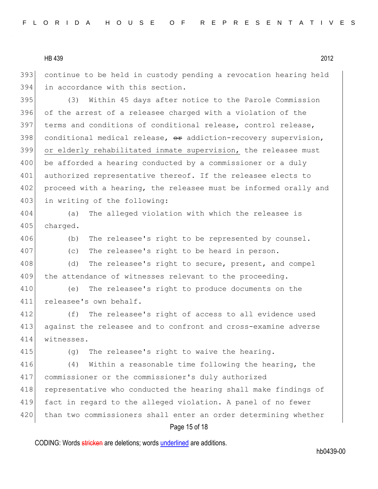393 continue to be held in custody pending a revocation hearing held 394 in accordance with this section.

395 (3) Within 45 days after notice to the Parole Commission 396 of the arrest of a releasee charged with a violation of the 397 terms and conditions of conditional release, control release,  $398$  conditional medical release,  $\theta$  addiction-recovery supervision, 399 or elderly rehabilitated inmate supervision, the releasee must 400 be afforded a hearing conducted by a commissioner or a duly 401 authorized representative thereof. If the releasee elects to 402 proceed with a hearing, the releasee must be informed orally and 403 in writing of the following:

404 (a) The alleged violation with which the releasee is 405 charged.

406 (b) The releasee's right to be represented by counsel.

407 (c) The releasee's right to be heard in person.

408 (d) The releasee's right to secure, present, and compel 409 the attendance of witnesses relevant to the proceeding.

410 (e) The releasee's right to produce documents on the 411 releasee's own behalf.

412 (f) The releasee's right of access to all evidence used 413 against the releasee and to confront and cross-examine adverse 414 witnesses.

415 (q) The releasee's right to waive the hearing.

416 (4) Within a reasonable time following the hearing, the 417 commissioner or the commissioner's duly authorized 418 representative who conducted the hearing shall make findings of 419 fact in regard to the alleged violation. A panel of no fewer 420 than two commissioners shall enter an order determining whether

## Page 15 of 18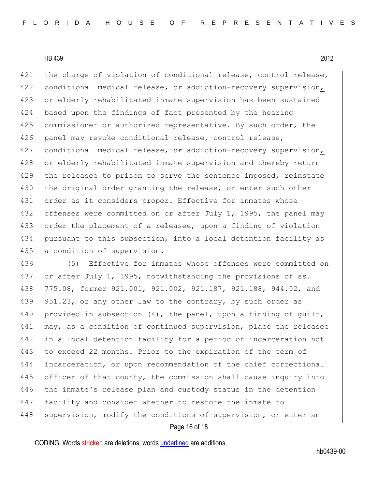421 the charge of violation of conditional release, control release, 422 conditional medical release,  $\theta$ r addiction-recovery supervision, 423 or elderly rehabilitated inmate supervision has been sustained 424 based upon the findings of fact presented by the hearing 425 commissioner or authorized representative. By such order, the 426 panel may revoke conditional release, control release, 427 conditional medical release,  $\theta$ r addiction-recovery supervision, 428 or elderly rehabilitated inmate supervision and thereby return 429 the releasee to prison to serve the sentence imposed, reinstate 430 the original order granting the release, or enter such other 431 order as it considers proper. Effective for inmates whose 432 offenses were committed on or after July 1, 1995, the panel may 433 order the placement of a releasee, upon a finding of violation 434 pursuant to this subsection, into a local detention facility as 435 a condition of supervision.

436 (5) Effective for inmates whose offenses were committed on 437 or after July 1, 1995, notwithstanding the provisions of ss. 438 775.08, former 921.001, 921.002, 921.187, 921.188, 944.02, and 439 951.23, or any other law to the contrary, by such order as 440 provided in subsection  $(4)$ , the panel, upon a finding of quilt, 441 may, as a condition of continued supervision, place the releasee 442 in a local detention facility for a period of incarceration not 443 to exceed 22 months. Prior to the expiration of the term of 444 incarceration, or upon recommendation of the chief correctional 445 officer of that county, the commission shall cause inquiry into 446 the inmate's release plan and custody status in the detention 447 facility and consider whether to restore the inmate to 448 supervision, modify the conditions of supervision, or enter an

#### Page 16 of 18

CODING: Words stricken are deletions; words underlined are additions.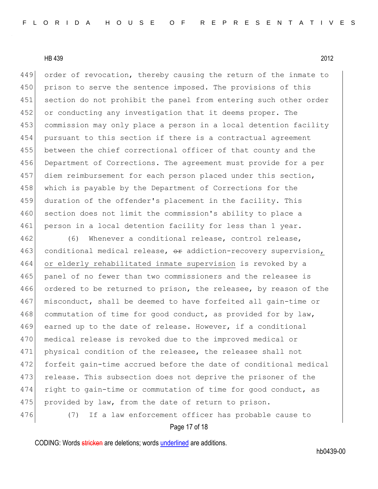449 order of revocation, thereby causing the return of the inmate to 450 prison to serve the sentence imposed. The provisions of this 451 section do not prohibit the panel from entering such other order 452 or conducting any investigation that it deems proper. The 453 commission may only place a person in a local detention facility 454 pursuant to this section if there is a contractual agreement 455 between the chief correctional officer of that county and the 456 Department of Corrections. The agreement must provide for a per 457 diem reimbursement for each person placed under this section, 458 which is payable by the Department of Corrections for the 459 duration of the offender's placement in the facility. This 460 section does not limit the commission's ability to place a 461 person in a local detention facility for less than 1 year.

462 (6) Whenever a conditional release, control release, 463 conditional medical release, or addiction-recovery supervision, 464 or elderly rehabilitated inmate supervision is revoked by a 465 panel of no fewer than two commissioners and the releasee is 466 ordered to be returned to prison, the releasee, by reason of the 467 misconduct, shall be deemed to have forfeited all gain-time or 468 commutation of time for good conduct, as provided for by law, 469 earned up to the date of release. However, if a conditional 470 medical release is revoked due to the improved medical or 471 physical condition of the releasee, the releasee shall not 472 forfeit gain-time accrued before the date of conditional medical 473 release. This subsection does not deprive the prisoner of the 474 right to gain-time or commutation of time for good conduct, as 475 provided by law, from the date of return to prison. 476 (7) If a law enforcement officer has probable cause to

#### Page 17 of 18

CODING: Words stricken are deletions; words underlined are additions.